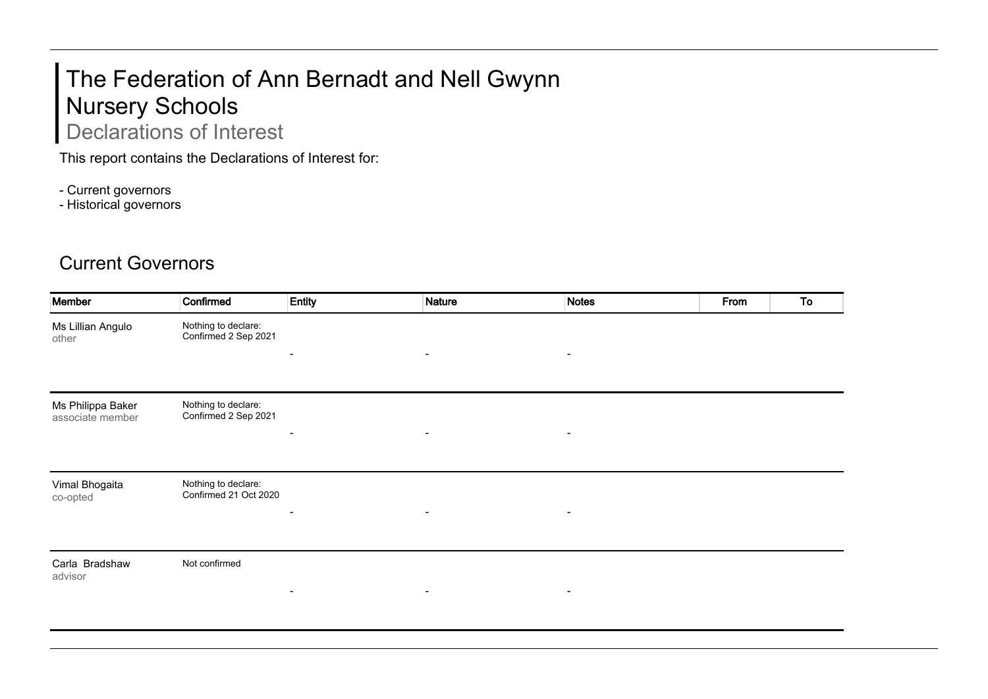## The Federation of Ann Bernadt and Nell Gwynn Nursery Schools Declarations of Interest

This report contains the Declarations of Interest for:

- Current governors

- Historical governors

## Current Governors

| Member                                | Confirmed                                    | Entity         | <b>Nature</b>            | <b>Notes</b>   | From | To |
|---------------------------------------|----------------------------------------------|----------------|--------------------------|----------------|------|----|
| Ms Lillian Angulo<br>other            | Nothing to declare:<br>Confirmed 2 Sep 2021  |                |                          |                |      |    |
|                                       |                                              | $\blacksquare$ | $\blacksquare$           | $\blacksquare$ |      |    |
| Ms Philippa Baker<br>associate member | Nothing to declare:<br>Confirmed 2 Sep 2021  |                |                          |                |      |    |
|                                       |                                              | $\blacksquare$ | $\blacksquare$           | $\blacksquare$ |      |    |
| Vimal Bhogaita<br>co-opted            | Nothing to declare:<br>Confirmed 21 Oct 2020 |                | $\overline{\phantom{a}}$ |                |      |    |
|                                       |                                              |                |                          |                |      |    |
| Carla Bradshaw<br>advisor             | Not confirmed                                |                |                          |                |      |    |
|                                       |                                              | $\blacksquare$ | $\overline{\phantom{a}}$ | $\blacksquare$ |      |    |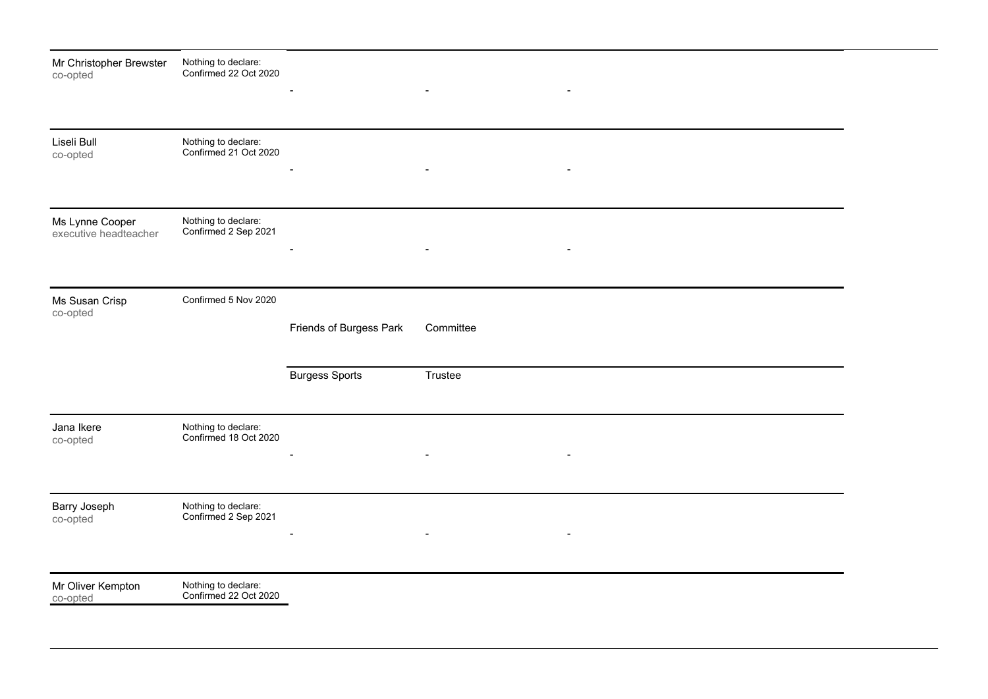| Mr Christopher Brewster<br>co-opted      | Nothing to declare:<br>Confirmed 22 Oct 2020 | $\blacksquare$           | $\overline{\phantom{a}}$ | $\overline{\phantom{a}}$ |  |  |
|------------------------------------------|----------------------------------------------|--------------------------|--------------------------|--------------------------|--|--|
| Liseli Bull                              | Nothing to declare:<br>Confirmed 21 Oct 2020 |                          |                          |                          |  |  |
| co-opted                                 |                                              | $\sim$                   | $\blacksquare$           | $\overline{\phantom{a}}$ |  |  |
| Ms Lynne Cooper<br>executive headteacher | Nothing to declare:<br>Confirmed 2 Sep 2021  |                          | $\overline{\phantom{a}}$ | $\overline{\phantom{a}}$ |  |  |
| Ms Susan Crisp<br>co-opted               | Confirmed 5 Nov 2020                         |                          |                          |                          |  |  |
|                                          |                                              | Friends of Burgess Park  | Committee                |                          |  |  |
|                                          |                                              | <b>Burgess Sports</b>    | Trustee                  |                          |  |  |
| Jana Ikere<br>co-opted                   | Nothing to declare:<br>Confirmed 18 Oct 2020 | $\overline{\phantom{a}}$ | $\blacksquare$           | $\blacksquare$           |  |  |
| Barry Joseph<br>co-opted                 | Nothing to declare:<br>Confirmed 2 Sep 2021  |                          | $\overline{\phantom{0}}$ | $\overline{\phantom{a}}$ |  |  |
| Mr Oliver Kempton<br>co-opted            | Nothing to declare:<br>Confirmed 22 Oct 2020 |                          |                          |                          |  |  |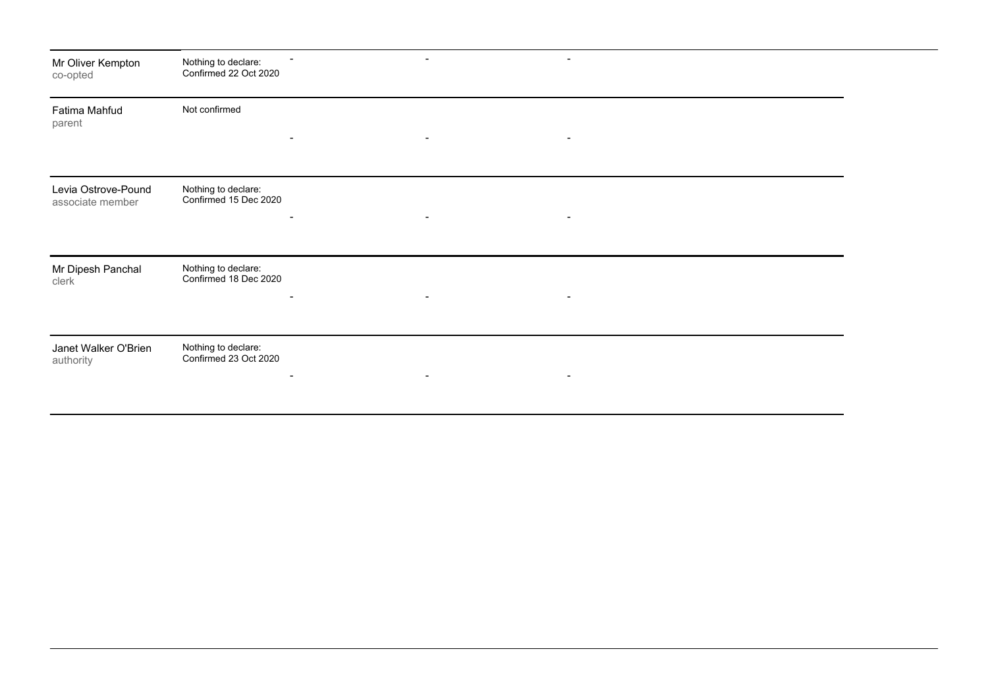| Mr Oliver Kempton<br>co-opted           | Nothing to declare:<br>Confirmed 22 Oct 2020                             |                |                |  |  |
|-----------------------------------------|--------------------------------------------------------------------------|----------------|----------------|--|--|
| Fatima Mahfud<br>parent                 | Not confirmed<br>$\overline{\phantom{a}}$                                | $\blacksquare$ | $\sim$         |  |  |
| Levia Ostrove-Pound<br>associate member | Nothing to declare:<br>Confirmed 15 Dec 2020<br>$\overline{\phantom{a}}$ | $\blacksquare$ | $\blacksquare$ |  |  |
| Mr Dipesh Panchal<br>clerk              | Nothing to declare:<br>Confirmed 18 Dec 2020<br>$\overline{\phantom{0}}$ | $\blacksquare$ |                |  |  |
| Janet Walker O'Brien<br>authority       | Nothing to declare:<br>Confirmed 23 Oct 2020                             |                | $\blacksquare$ |  |  |